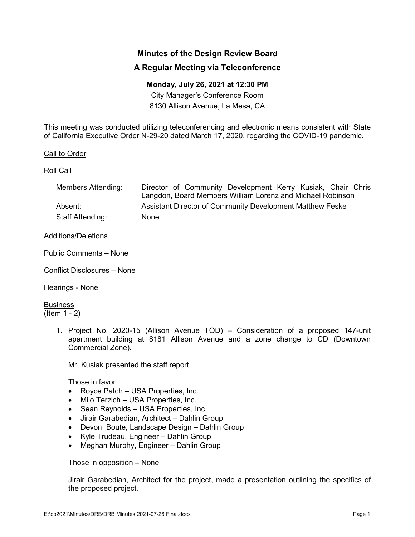# **Minutes of the Design Review Board**

## **A Regular Meeting via Teleconference**

### **Monday, July 26, 2021 at 12:30 PM**

City Manager's Conference Room 8130 Allison Avenue, La Mesa, CA

This meeting was conducted utilizing teleconferencing and electronic means consistent with State of California Executive Order N-29-20 dated March 17, 2020, regarding the COVID-19 pandemic.

### Call to Order

#### Roll Call

| Members Attending: | Director of Community Development Kerry Kusiak, Chair Chris |
|--------------------|-------------------------------------------------------------|
|                    | Langdon, Board Members William Lorenz and Michael Robinson  |
| Absent:            | Assistant Director of Community Development Matthew Feske   |
| Staff Attending:   | <b>None</b>                                                 |

#### Additions/Deletions

Public Comments – None

Conflict Disclosures – None

Hearings - None

**Business** (Item 1 - 2)

> 1. Project No. 2020-15 (Allison Avenue TOD) – Consideration of a proposed 147-unit apartment building at 8181 Allison Avenue and a zone change to CD (Downtown Commercial Zone).

Mr. Kusiak presented the staff report.

Those in favor

- Royce Patch USA Properties, Inc.
- Milo Terzich USA Properties, Inc.
- Sean Reynolds USA Properties, Inc.
- Jirair Garabedian, Architect Dahlin Group
- Devon Boute, Landscape Design Dahlin Group
- Kyle Trudeau, Engineer Dahlin Group
- Meghan Murphy, Engineer Dahlin Group

Those in opposition – None

Jirair Garabedian, Architect for the project, made a presentation outlining the specifics of the proposed project.